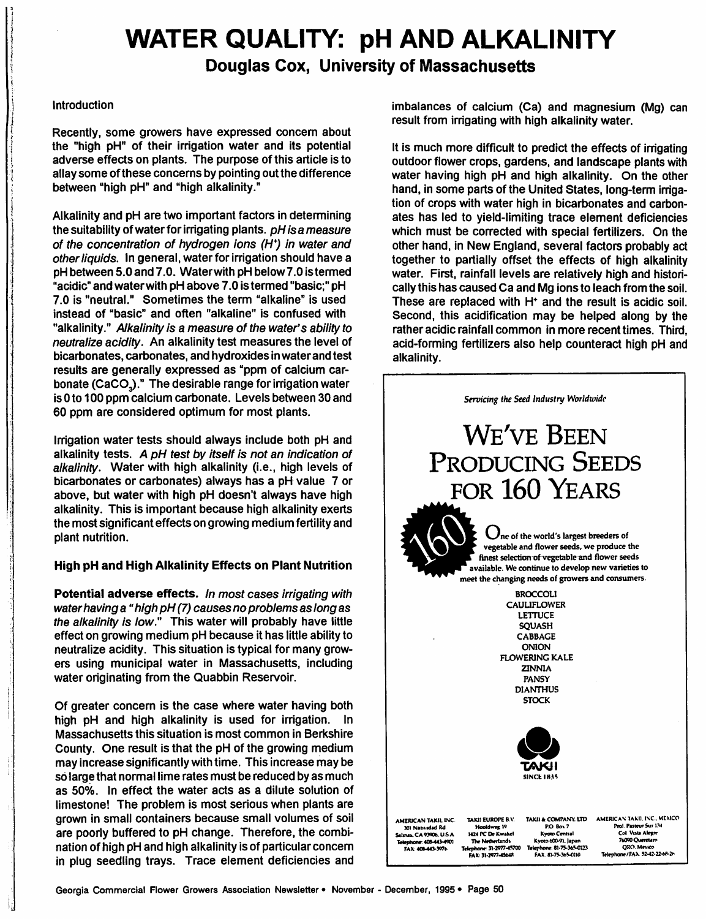# *WATER QUALITY: pH AND ALKALINITY*

*Douglas Cox, University of Massachusetts*

#### Introduction

Recently, some growers have expressed concern about the "high pH" of their irrigation water and its potential adverse effects on plants. The purpose of this article is to allay some of these concerns by pointing out the difference between "high pH" and "high alkalinity."

Alkalinity and pH are two important factors in determining the suitability of waterfor irrigating plants. **pH is a measure of the concentration of hydrogen ions (H\*) in water and otherliquids.** In general, water for irrigation should have a pH between 5.0 and 7.0. Waterwith pH below7.0 istermed "acidic" and waterwith pH above 7.0 is termed "basic;" pH 7.0 is "neutral." Sometimes the term "alkaline" is used instead of "basic" and often "alkaline" is confused with "alkalinity." **Alkalinityis a measure of the water's abilityto neutralizeacidity.** An alkalinity test measures the level of bicarbonates, carbonates, and hydroxidesin waterand test results are generally expressed as "ppm of calcium car bonate (CaCO<sub>3</sub>)." The desirable range for irrigation water is 0 to 100 ppm calcium carbonate. Levels between 30 and 60 ppm are considered optimum for most plants.

Irrigation water tests should always include both pH and alkalinity tests. **A pH test by itself is not an indication of alkalinity.** Water with high alkalinity (i.e., high levels of bicarbonates or carbonates) always has a pH value 7 or above, but water with high pH doesn't always have high alkalinity. This is important because high alkalinity exerts the most significant effects on growing medium fertility and plant nutrition.

### *High pH and High Alkalinity Effects on Plant Nutrition*

**Potential adverse effects.** In most cases irrigating with **waterhaving a" high pH (7) causes no problems aslong as the alkalinity is low."** This water will probably have little effect on growing medium pH because it has little ability to neutralize acidity. This situation is typical for many grow ers using municipal water in Massachusetts, including water originating from the Quabbin Reservoir.

Of greater concern is the case where water having both high pH and high alkalinity is used for irrigation. In Massachusetts this situation is most common in Berkshire County. One result is that the pH of the growing medium may increase significantly with time. This increase may be so large that normal lime rates must be reduced by as much as 50%. In effect the water acts as a dilute solution of limestone! The problem is most serious when plants are grown in small containers because small volumes of soil are poorly buffered to pH change. Therefore, the combi nation of high pH and high alkalinity is of particular concern in plug seedling trays. Trace element deficiencies and imbalances of calcium (Ca) and magnesium (Mg) can result from irrigating with high alkalinity water.

It is much more difficult to predict the effects of irrigating outdoor flower crops, gardens, and landscape plants with water having high pH and high alkalinity. On the other hand, in some parts of the United States, long-term irrigation of crops with water high in bicarbonates and carbon ates has led to yield-limiting trace element deficiencies which must be corrected with special fertilizers. On the other hand, in New England, several factors probably act together to partially offset the effects of high alkalinity water. First, rainfall levels are relatively high and histori cally this has caused Ca and Mg ionsto leach from the soil. These are replaced with H<sup>+</sup> and the result is acidic soil. Second, this acidification may be helped along by the rather acidic rainfall common in more recent times. Third, acid-forming fertilizers also help counteract high pH and alkalinity.



*Georgia Commercial Rower Growers Association Newsletter • November - December, 1995• Page 50*